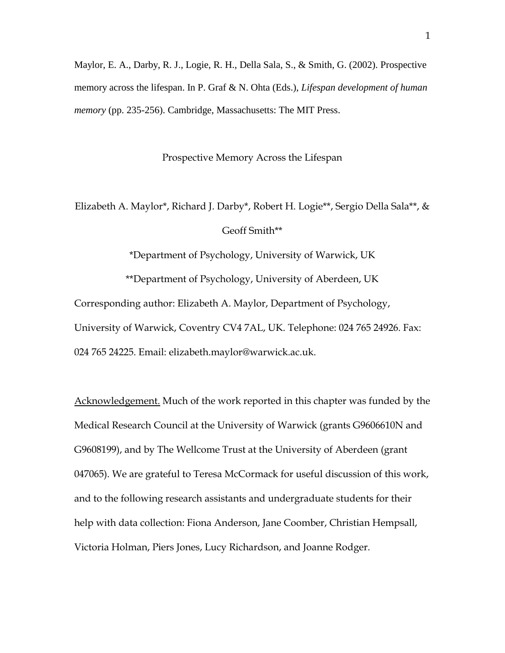Maylor, E. A., Darby, R. J., Logie, R. H., Della Sala, S., & Smith, G. (2002). Prospective memory across the lifespan. In P. Graf & N. Ohta (Eds.), *Lifespan development of human memory* (pp. 235-256). Cambridge, Massachusetts: The MIT Press.

Prospective Memory Across the Lifespan

Elizabeth A. Maylor\*, Richard J. Darby\*, Robert H. Logie\*\*, Sergio Della Sala\*\*, & Geoff Smith\*\*

\*Department of Psychology, University of Warwick, UK

\*\*Department of Psychology, University of Aberdeen, UK Corresponding author: Elizabeth A. Maylor, Department of Psychology, University of Warwick, Coventry CV4 7AL, UK. Telephone: 024 765 24926. Fax: 024 765 24225. Email: elizabeth.maylor@warwick.ac.uk.

Acknowledgement. Much of the work reported in this chapter was funded by the Medical Research Council at the University of Warwick (grants G9606610N and G9608199), and by The Wellcome Trust at the University of Aberdeen (grant 047065). We are grateful to Teresa McCormack for useful discussion of this work, and to the following research assistants and undergraduate students for their help with data collection: Fiona Anderson, Jane Coomber, Christian Hempsall, Victoria Holman, Piers Jones, Lucy Richardson, and Joanne Rodger.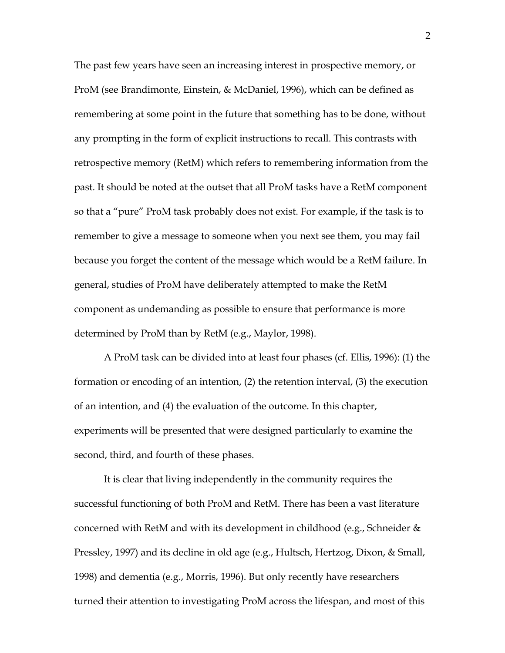The past few years have seen an increasing interest in prospective memory, or ProM (see Brandimonte, Einstein, & McDaniel, 1996), which can be defined as remembering at some point in the future that something has to be done, without any prompting in the form of explicit instructions to recall. This contrasts with retrospective memory (RetM) which refers to remembering information from the past. It should be noted at the outset that all ProM tasks have a RetM component so that a "pure" ProM task probably does not exist. For example, if the task is to remember to give a message to someone when you next see them, you may fail because you forget the content of the message which would be a RetM failure. In general, studies of ProM have deliberately attempted to make the RetM component as undemanding as possible to ensure that performance is more determined by ProM than by RetM (e.g., Maylor, 1998).

A ProM task can be divided into at least four phases (cf. Ellis, 1996): (1) the formation or encoding of an intention, (2) the retention interval, (3) the execution of an intention, and (4) the evaluation of the outcome. In this chapter, experiments will be presented that were designed particularly to examine the second, third, and fourth of these phases.

It is clear that living independently in the community requires the successful functioning of both ProM and RetM. There has been a vast literature concerned with RetM and with its development in childhood (e.g., Schneider & Pressley, 1997) and its decline in old age (e.g., Hultsch, Hertzog, Dixon, & Small, 1998) and dementia (e.g., Morris, 1996). But only recently have researchers turned their attention to investigating ProM across the lifespan, and most of this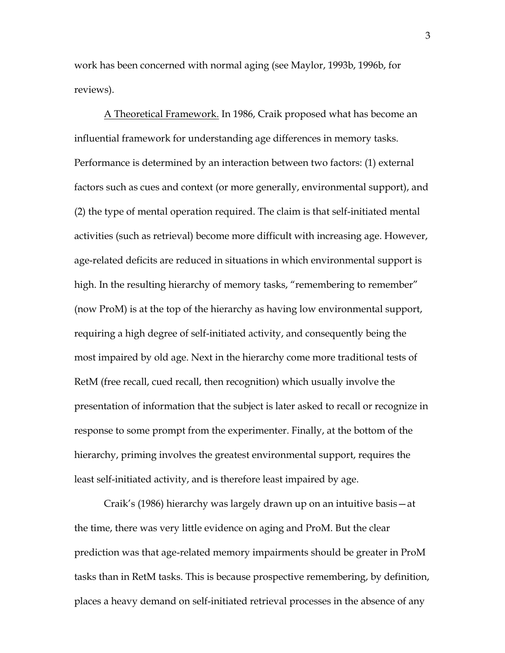work has been concerned with normal aging (see Maylor, 1993b, 1996b, for reviews).

A Theoretical Framework. In 1986, Craik proposed what has become an influential framework for understanding age differences in memory tasks. Performance is determined by an interaction between two factors: (1) external factors such as cues and context (or more generally, environmental support), and (2) the type of mental operation required. The claim is that self-initiated mental activities (such as retrieval) become more difficult with increasing age. However, age-related deficits are reduced in situations in which environmental support is high. In the resulting hierarchy of memory tasks, "remembering to remember" (now ProM) is at the top of the hierarchy as having low environmental support, requiring a high degree of self-initiated activity, and consequently being the most impaired by old age. Next in the hierarchy come more traditional tests of RetM (free recall, cued recall, then recognition) which usually involve the presentation of information that the subject is later asked to recall or recognize in response to some prompt from the experimenter. Finally, at the bottom of the hierarchy, priming involves the greatest environmental support, requires the least self-initiated activity, and is therefore least impaired by age.

Craik's (1986) hierarchy was largely drawn up on an intuitive basis—at the time, there was very little evidence on aging and ProM. But the clear prediction was that age-related memory impairments should be greater in ProM tasks than in RetM tasks. This is because prospective remembering, by definition, places a heavy demand on self-initiated retrieval processes in the absence of any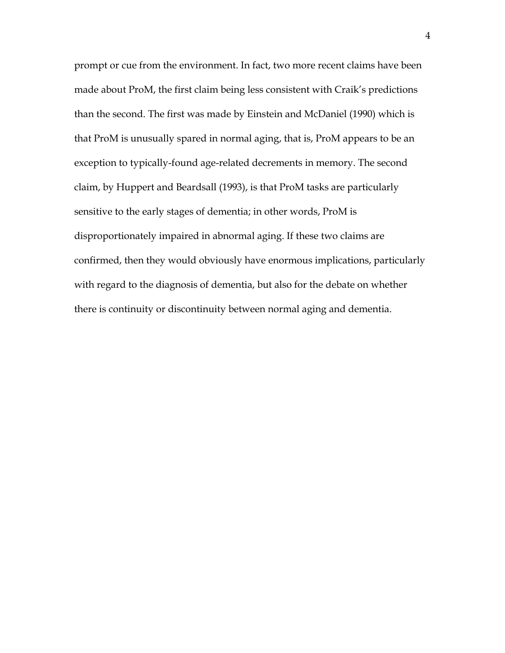prompt or cue from the environment. In fact, two more recent claims have been made about ProM, the first claim being less consistent with Craik's predictions than the second. The first was made by Einstein and McDaniel (1990) which is that ProM is unusually spared in normal aging, that is, ProM appears to be an exception to typically-found age-related decrements in memory. The second claim, by Huppert and Beardsall (1993), is that ProM tasks are particularly sensitive to the early stages of dementia; in other words, ProM is disproportionately impaired in abnormal aging. If these two claims are confirmed, then they would obviously have enormous implications, particularly with regard to the diagnosis of dementia, but also for the debate on whether there is continuity or discontinuity between normal aging and dementia.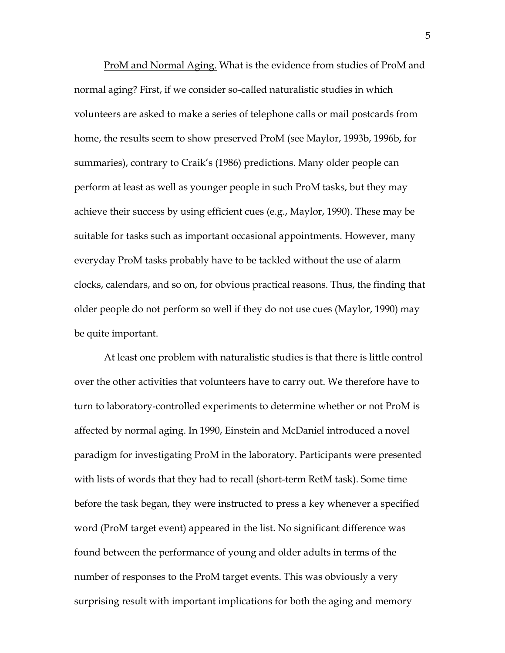ProM and Normal Aging. What is the evidence from studies of ProM and normal aging? First, if we consider so-called naturalistic studies in which volunteers are asked to make a series of telephone calls or mail postcards from home, the results seem to show preserved ProM (see Maylor, 1993b, 1996b, for summaries), contrary to Craik's (1986) predictions. Many older people can perform at least as well as younger people in such ProM tasks, but they may achieve their success by using efficient cues (e.g., Maylor, 1990). These may be suitable for tasks such as important occasional appointments. However, many everyday ProM tasks probably have to be tackled without the use of alarm clocks, calendars, and so on, for obvious practical reasons. Thus, the finding that older people do not perform so well if they do not use cues (Maylor, 1990) may be quite important.

At least one problem with naturalistic studies is that there is little control over the other activities that volunteers have to carry out. We therefore have to turn to laboratory-controlled experiments to determine whether or not ProM is affected by normal aging. In 1990, Einstein and McDaniel introduced a novel paradigm for investigating ProM in the laboratory. Participants were presented with lists of words that they had to recall (short-term RetM task). Some time before the task began, they were instructed to press a key whenever a specified word (ProM target event) appeared in the list. No significant difference was found between the performance of young and older adults in terms of the number of responses to the ProM target events. This was obviously a very surprising result with important implications for both the aging and memory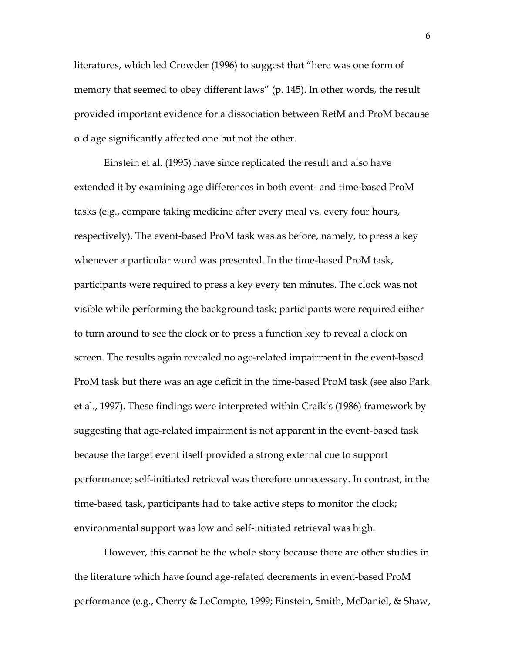literatures, which led Crowder (1996) to suggest that "here was one form of memory that seemed to obey different laws" (p. 145). In other words, the result provided important evidence for a dissociation between RetM and ProM because old age significantly affected one but not the other.

Einstein et al. (1995) have since replicated the result and also have extended it by examining age differences in both event- and time-based ProM tasks (e.g., compare taking medicine after every meal vs. every four hours, respectively). The event-based ProM task was as before, namely, to press a key whenever a particular word was presented. In the time-based ProM task, participants were required to press a key every ten minutes. The clock was not visible while performing the background task; participants were required either to turn around to see the clock or to press a function key to reveal a clock on screen. The results again revealed no age-related impairment in the event-based ProM task but there was an age deficit in the time-based ProM task (see also Park et al., 1997). These findings were interpreted within Craik's (1986) framework by suggesting that age-related impairment is not apparent in the event-based task because the target event itself provided a strong external cue to support performance; self-initiated retrieval was therefore unnecessary. In contrast, in the time-based task, participants had to take active steps to monitor the clock; environmental support was low and self-initiated retrieval was high.

However, this cannot be the whole story because there are other studies in the literature which have found age-related decrements in event-based ProM performance (e.g., Cherry & LeCompte, 1999; Einstein, Smith, McDaniel, & Shaw,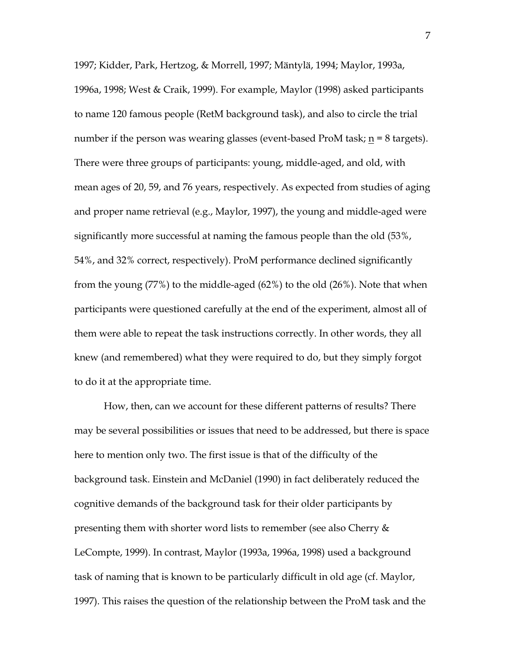1997; Kidder, Park, Hertzog, & Morrell, 1997; Mäntylä, 1994; Maylor, 1993a, 1996a, 1998; West & Craik, 1999). For example, Maylor (1998) asked participants to name 120 famous people (RetM background task), and also to circle the trial number if the person was wearing glasses (event-based ProM task;  $n = 8$  targets). There were three groups of participants: young, middle-aged, and old, with mean ages of 20, 59, and 76 years, respectively. As expected from studies of aging and proper name retrieval (e.g., Maylor, 1997), the young and middle-aged were significantly more successful at naming the famous people than the old (53%, 54%, and 32% correct, respectively). ProM performance declined significantly from the young (77%) to the middle-aged (62%) to the old (26%). Note that when participants were questioned carefully at the end of the experiment, almost all of them were able to repeat the task instructions correctly. In other words, they all knew (and remembered) what they were required to do, but they simply forgot to do it at the appropriate time.

How, then, can we account for these different patterns of results? There may be several possibilities or issues that need to be addressed, but there is space here to mention only two. The first issue is that of the difficulty of the background task. Einstein and McDaniel (1990) in fact deliberately reduced the cognitive demands of the background task for their older participants by presenting them with shorter word lists to remember (see also Cherry & LeCompte, 1999). In contrast, Maylor (1993a, 1996a, 1998) used a background task of naming that is known to be particularly difficult in old age (cf. Maylor, 1997). This raises the question of the relationship between the ProM task and the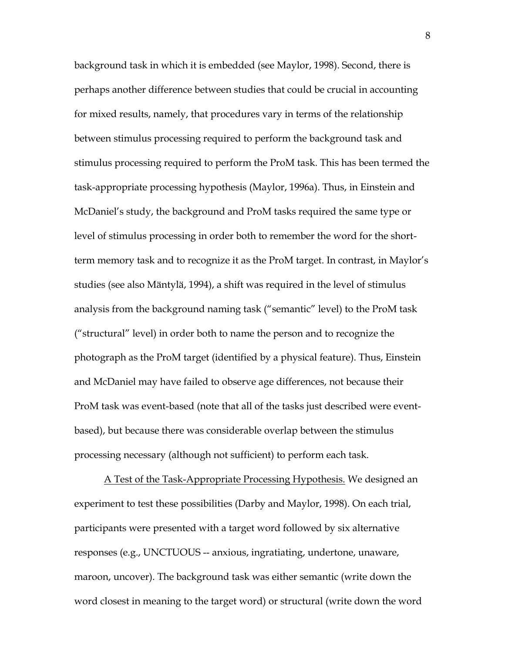background task in which it is embedded (see Maylor, 1998). Second, there is perhaps another difference between studies that could be crucial in accounting for mixed results, namely, that procedures vary in terms of the relationship between stimulus processing required to perform the background task and stimulus processing required to perform the ProM task. This has been termed the task-appropriate processing hypothesis (Maylor, 1996a). Thus, in Einstein and McDaniel's study, the background and ProM tasks required the same type or level of stimulus processing in order both to remember the word for the shortterm memory task and to recognize it as the ProM target. In contrast, in Maylor's studies (see also Mäntylä, 1994), a shift was required in the level of stimulus analysis from the background naming task ("semantic" level) to the ProM task ("structural" level) in order both to name the person and to recognize the photograph as the ProM target (identified by a physical feature). Thus, Einstein and McDaniel may have failed to observe age differences, not because their ProM task was event-based (note that all of the tasks just described were eventbased), but because there was considerable overlap between the stimulus processing necessary (although not sufficient) to perform each task.

A Test of the Task-Appropriate Processing Hypothesis. We designed an experiment to test these possibilities (Darby and Maylor, 1998). On each trial, participants were presented with a target word followed by six alternative responses (e.g., UNCTUOUS -- anxious, ingratiating, undertone, unaware, maroon, uncover). The background task was either semantic (write down the word closest in meaning to the target word) or structural (write down the word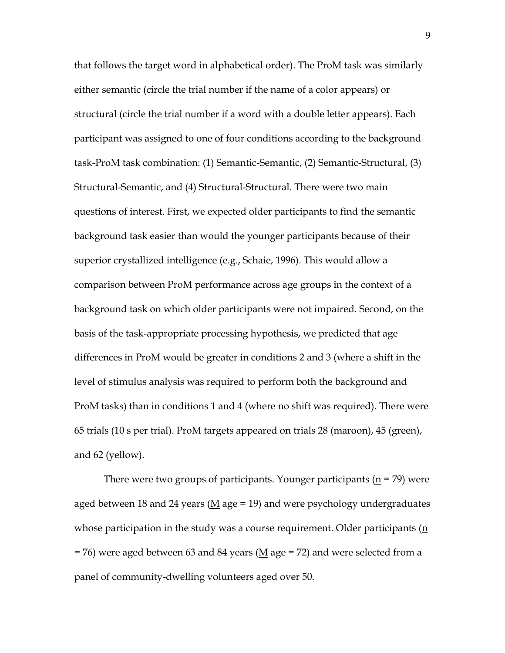that follows the target word in alphabetical order). The ProM task was similarly either semantic (circle the trial number if the name of a color appears) or structural (circle the trial number if a word with a double letter appears). Each participant was assigned to one of four conditions according to the background task-ProM task combination: (1) Semantic-Semantic, (2) Semantic-Structural, (3) Structural-Semantic, and (4) Structural-Structural. There were two main questions of interest. First, we expected older participants to find the semantic background task easier than would the younger participants because of their superior crystallized intelligence (e.g., Schaie, 1996). This would allow a comparison between ProM performance across age groups in the context of a background task on which older participants were not impaired. Second, on the basis of the task-appropriate processing hypothesis, we predicted that age differences in ProM would be greater in conditions 2 and 3 (where a shift in the level of stimulus analysis was required to perform both the background and ProM tasks) than in conditions 1 and 4 (where no shift was required). There were 65 trials (10 s per trial). ProM targets appeared on trials 28 (maroon), 45 (green), and 62 (yellow).

There were two groups of participants. Younger participants ( $\underline{n}$  = 79) were aged between 18 and 24 years (M age = 19) and were psychology undergraduates whose participation in the study was a course requirement. Older participants  $(n)$  $= 76$ ) were aged between 63 and 84 years ( $M$  age  $= 72$ ) and were selected from a panel of community-dwelling volunteers aged over 50.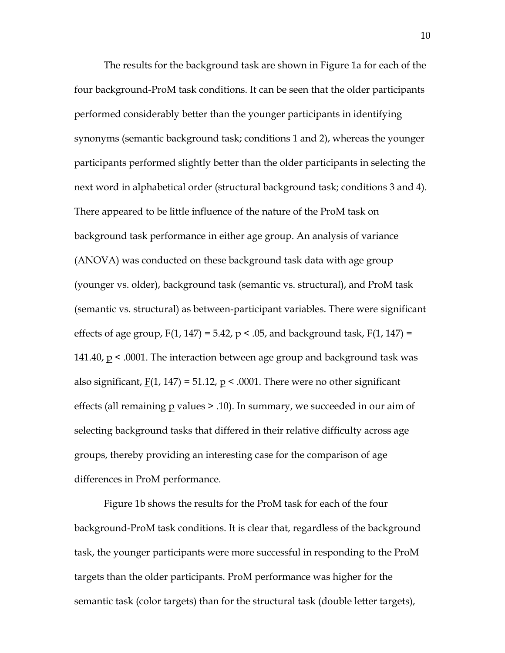The results for the background task are shown in Figure 1a for each of the four background-ProM task conditions. It can be seen that the older participants performed considerably better than the younger participants in identifying synonyms (semantic background task; conditions 1 and 2), whereas the younger participants performed slightly better than the older participants in selecting the next word in alphabetical order (structural background task; conditions 3 and 4). There appeared to be little influence of the nature of the ProM task on background task performance in either age group. An analysis of variance (ANOVA) was conducted on these background task data with age group (younger vs. older), background task (semantic vs. structural), and ProM task (semantic vs. structural) as between-participant variables. There were significant effects of age group,  $F(1, 147) = 5.42$ ,  $p < .05$ , and background task,  $F(1, 147) =$ 141.40,  $p \leq 0.0001$ . The interaction between age group and background task was also significant,  $F(1, 147) = 51.12$ ,  $p \le 0.0001$ . There were no other significant effects (all remaining  $p$  values  $\geq$  .10). In summary, we succeeded in our aim of selecting background tasks that differed in their relative difficulty across age groups, thereby providing an interesting case for the comparison of age differences in ProM performance.

Figure 1b shows the results for the ProM task for each of the four background-ProM task conditions. It is clear that, regardless of the background task, the younger participants were more successful in responding to the ProM targets than the older participants. ProM performance was higher for the semantic task (color targets) than for the structural task (double letter targets),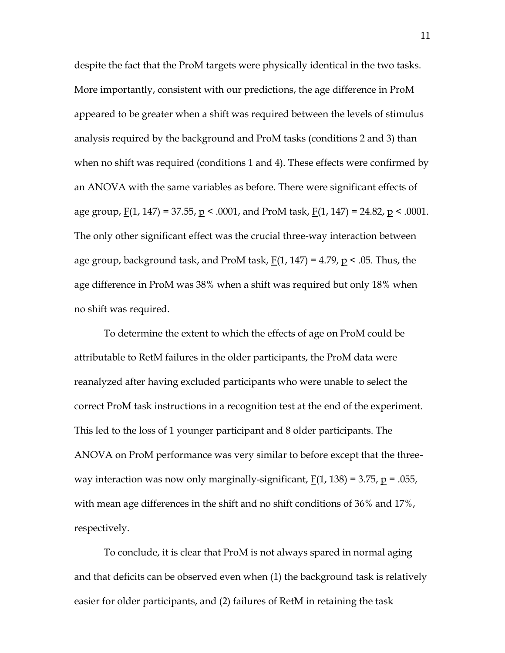despite the fact that the ProM targets were physically identical in the two tasks. More importantly, consistent with our predictions, the age difference in ProM appeared to be greater when a shift was required between the levels of stimulus analysis required by the background and ProM tasks (conditions 2 and 3) than when no shift was required (conditions 1 and 4). These effects were confirmed by an ANOVA with the same variables as before. There were significant effects of age group,  $F(1, 147) = 37.55$ ,  $p \le 0.0001$ , and ProM task,  $F(1, 147) = 24.82$ ,  $p \le 0.0001$ . The only other significant effect was the crucial three-way interaction between age group, background task, and ProM task,  $F(1, 147) = 4.79$ ,  $p < .05$ . Thus, the age difference in ProM was 38% when a shift was required but only 18% when no shift was required.

To determine the extent to which the effects of age on ProM could be attributable to RetM failures in the older participants, the ProM data were reanalyzed after having excluded participants who were unable to select the correct ProM task instructions in a recognition test at the end of the experiment. This led to the loss of 1 younger participant and 8 older participants. The ANOVA on ProM performance was very similar to before except that the threeway interaction was now only marginally-significant,  $F(1, 138) = 3.75$ ,  $p = .055$ , with mean age differences in the shift and no shift conditions of 36% and 17%, respectively.

To conclude, it is clear that ProM is not always spared in normal aging and that deficits can be observed even when (1) the background task is relatively easier for older participants, and (2) failures of RetM in retaining the task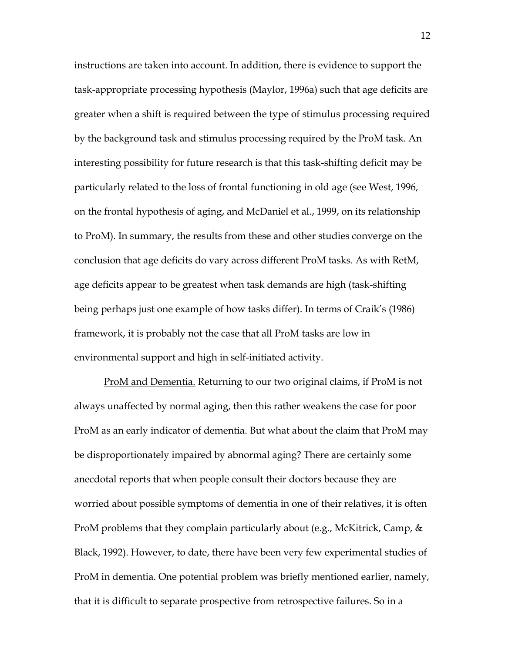instructions are taken into account. In addition, there is evidence to support the task-appropriate processing hypothesis (Maylor, 1996a) such that age deficits are greater when a shift is required between the type of stimulus processing required by the background task and stimulus processing required by the ProM task. An interesting possibility for future research is that this task-shifting deficit may be particularly related to the loss of frontal functioning in old age (see West, 1996, on the frontal hypothesis of aging, and McDaniel et al., 1999, on its relationship to ProM). In summary, the results from these and other studies converge on the conclusion that age deficits do vary across different ProM tasks. As with RetM, age deficits appear to be greatest when task demands are high (task-shifting being perhaps just one example of how tasks differ). In terms of Craik's (1986) framework, it is probably not the case that all ProM tasks are low in environmental support and high in self-initiated activity.

ProM and Dementia. Returning to our two original claims, if ProM is not always unaffected by normal aging, then this rather weakens the case for poor ProM as an early indicator of dementia. But what about the claim that ProM may be disproportionately impaired by abnormal aging? There are certainly some anecdotal reports that when people consult their doctors because they are worried about possible symptoms of dementia in one of their relatives, it is often ProM problems that they complain particularly about (e.g., McKitrick, Camp, & Black, 1992). However, to date, there have been very few experimental studies of ProM in dementia. One potential problem was briefly mentioned earlier, namely, that it is difficult to separate prospective from retrospective failures. So in a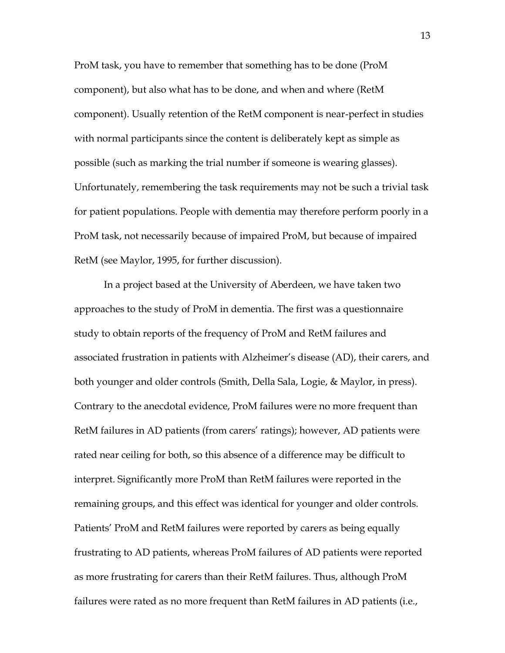ProM task, you have to remember that something has to be done (ProM component), but also what has to be done, and when and where (RetM component). Usually retention of the RetM component is near-perfect in studies with normal participants since the content is deliberately kept as simple as possible (such as marking the trial number if someone is wearing glasses). Unfortunately, remembering the task requirements may not be such a trivial task for patient populations. People with dementia may therefore perform poorly in a ProM task, not necessarily because of impaired ProM, but because of impaired RetM (see Maylor, 1995, for further discussion).

In a project based at the University of Aberdeen, we have taken two approaches to the study of ProM in dementia. The first was a questionnaire study to obtain reports of the frequency of ProM and RetM failures and associated frustration in patients with Alzheimer's disease (AD), their carers, and both younger and older controls (Smith, Della Sala, Logie, & Maylor, in press). Contrary to the anecdotal evidence, ProM failures were no more frequent than RetM failures in AD patients (from carers' ratings); however, AD patients were rated near ceiling for both, so this absence of a difference may be difficult to interpret. Significantly more ProM than RetM failures were reported in the remaining groups, and this effect was identical for younger and older controls. Patients' ProM and RetM failures were reported by carers as being equally frustrating to AD patients, whereas ProM failures of AD patients were reported as more frustrating for carers than their RetM failures. Thus, although ProM failures were rated as no more frequent than RetM failures in AD patients (i.e.,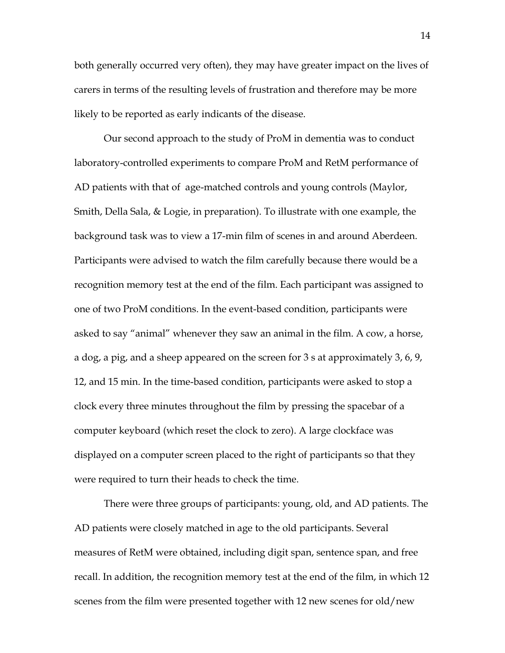both generally occurred very often), they may have greater impact on the lives of carers in terms of the resulting levels of frustration and therefore may be more likely to be reported as early indicants of the disease.

Our second approach to the study of ProM in dementia was to conduct laboratory-controlled experiments to compare ProM and RetM performance of AD patients with that of age-matched controls and young controls (Maylor, Smith, Della Sala, & Logie, in preparation). To illustrate with one example, the background task was to view a 17-min film of scenes in and around Aberdeen. Participants were advised to watch the film carefully because there would be a recognition memory test at the end of the film. Each participant was assigned to one of two ProM conditions. In the event-based condition, participants were asked to say "animal" whenever they saw an animal in the film. A cow, a horse, a dog, a pig, and a sheep appeared on the screen for 3 s at approximately 3, 6, 9, 12, and 15 min. In the time-based condition, participants were asked to stop a clock every three minutes throughout the film by pressing the spacebar of a computer keyboard (which reset the clock to zero). A large clockface was displayed on a computer screen placed to the right of participants so that they were required to turn their heads to check the time.

There were three groups of participants: young, old, and AD patients. The AD patients were closely matched in age to the old participants. Several measures of RetM were obtained, including digit span, sentence span, and free recall. In addition, the recognition memory test at the end of the film, in which 12 scenes from the film were presented together with 12 new scenes for old/new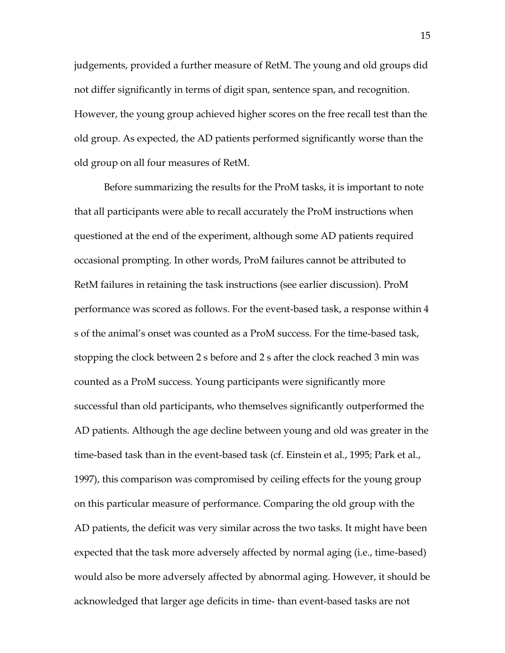judgements, provided a further measure of RetM. The young and old groups did not differ significantly in terms of digit span, sentence span, and recognition. However, the young group achieved higher scores on the free recall test than the old group. As expected, the AD patients performed significantly worse than the old group on all four measures of RetM.

Before summarizing the results for the ProM tasks, it is important to note that all participants were able to recall accurately the ProM instructions when questioned at the end of the experiment, although some AD patients required occasional prompting. In other words, ProM failures cannot be attributed to RetM failures in retaining the task instructions (see earlier discussion). ProM performance was scored as follows. For the event-based task, a response within 4 s of the animal's onset was counted as a ProM success. For the time-based task, stopping the clock between 2 s before and 2 s after the clock reached 3 min was counted as a ProM success. Young participants were significantly more successful than old participants, who themselves significantly outperformed the AD patients. Although the age decline between young and old was greater in the time-based task than in the event-based task (cf. Einstein et al., 1995; Park et al., 1997), this comparison was compromised by ceiling effects for the young group on this particular measure of performance. Comparing the old group with the AD patients, the deficit was very similar across the two tasks. It might have been expected that the task more adversely affected by normal aging (i.e., time-based) would also be more adversely affected by abnormal aging. However, it should be acknowledged that larger age deficits in time- than event-based tasks are not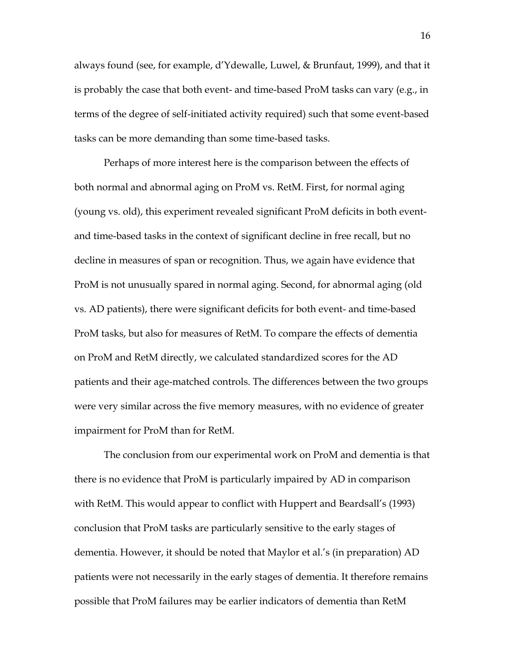always found (see, for example, d'Ydewalle, Luwel, & Brunfaut, 1999), and that it is probably the case that both event- and time-based ProM tasks can vary (e.g., in terms of the degree of self-initiated activity required) such that some event-based tasks can be more demanding than some time-based tasks.

Perhaps of more interest here is the comparison between the effects of both normal and abnormal aging on ProM vs. RetM. First, for normal aging (young vs. old), this experiment revealed significant ProM deficits in both eventand time-based tasks in the context of significant decline in free recall, but no decline in measures of span or recognition. Thus, we again have evidence that ProM is not unusually spared in normal aging. Second, for abnormal aging (old vs. AD patients), there were significant deficits for both event- and time-based ProM tasks, but also for measures of RetM. To compare the effects of dementia on ProM and RetM directly, we calculated standardized scores for the AD patients and their age-matched controls. The differences between the two groups were very similar across the five memory measures, with no evidence of greater impairment for ProM than for RetM.

The conclusion from our experimental work on ProM and dementia is that there is no evidence that ProM is particularly impaired by AD in comparison with RetM. This would appear to conflict with Huppert and Beardsall's (1993) conclusion that ProM tasks are particularly sensitive to the early stages of dementia. However, it should be noted that Maylor et al.'s (in preparation) AD patients were not necessarily in the early stages of dementia. It therefore remains possible that ProM failures may be earlier indicators of dementia than RetM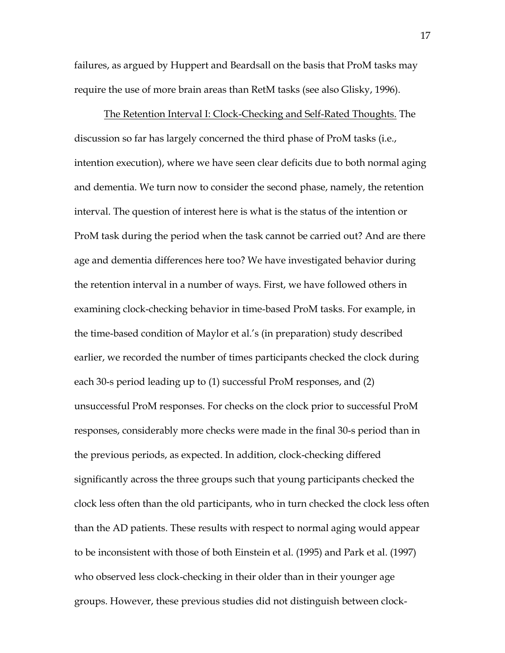failures, as argued by Huppert and Beardsall on the basis that ProM tasks may require the use of more brain areas than RetM tasks (see also Glisky, 1996).

The Retention Interval I: Clock-Checking and Self-Rated Thoughts. The discussion so far has largely concerned the third phase of ProM tasks (i.e., intention execution), where we have seen clear deficits due to both normal aging and dementia. We turn now to consider the second phase, namely, the retention interval. The question of interest here is what is the status of the intention or ProM task during the period when the task cannot be carried out? And are there age and dementia differences here too? We have investigated behavior during the retention interval in a number of ways. First, we have followed others in examining clock-checking behavior in time-based ProM tasks. For example, in the time-based condition of Maylor et al.'s (in preparation) study described earlier, we recorded the number of times participants checked the clock during each 30-s period leading up to (1) successful ProM responses, and (2) unsuccessful ProM responses. For checks on the clock prior to successful ProM responses, considerably more checks were made in the final 30-s period than in the previous periods, as expected. In addition, clock-checking differed significantly across the three groups such that young participants checked the clock less often than the old participants, who in turn checked the clock less often than the AD patients. These results with respect to normal aging would appear to be inconsistent with those of both Einstein et al. (1995) and Park et al. (1997) who observed less clock-checking in their older than in their younger age groups. However, these previous studies did not distinguish between clock-

17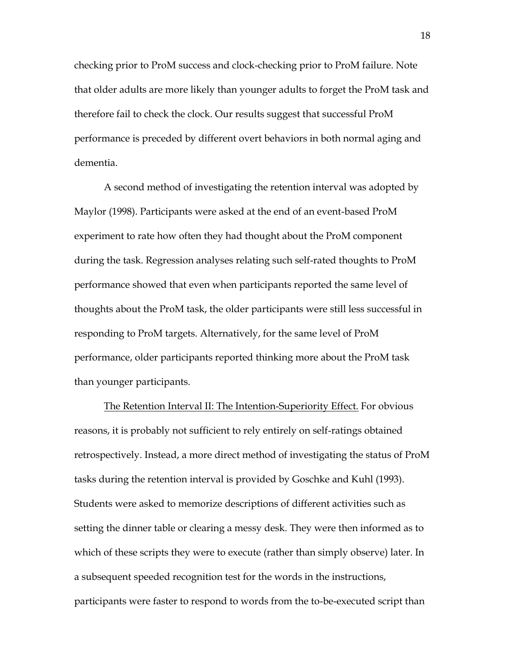checking prior to ProM success and clock-checking prior to ProM failure. Note that older adults are more likely than younger adults to forget the ProM task and therefore fail to check the clock. Our results suggest that successful ProM performance is preceded by different overt behaviors in both normal aging and dementia.

A second method of investigating the retention interval was adopted by Maylor (1998). Participants were asked at the end of an event-based ProM experiment to rate how often they had thought about the ProM component during the task. Regression analyses relating such self-rated thoughts to ProM performance showed that even when participants reported the same level of thoughts about the ProM task, the older participants were still less successful in responding to ProM targets. Alternatively, for the same level of ProM performance, older participants reported thinking more about the ProM task than younger participants.

The Retention Interval II: The Intention-Superiority Effect. For obvious reasons, it is probably not sufficient to rely entirely on self-ratings obtained retrospectively. Instead, a more direct method of investigating the status of ProM tasks during the retention interval is provided by Goschke and Kuhl (1993). Students were asked to memorize descriptions of different activities such as setting the dinner table or clearing a messy desk. They were then informed as to which of these scripts they were to execute (rather than simply observe) later. In a subsequent speeded recognition test for the words in the instructions, participants were faster to respond to words from the to-be-executed script than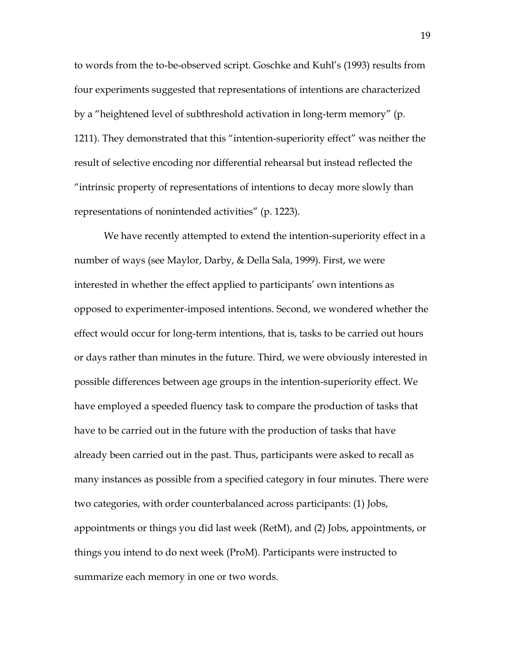to words from the to-be-observed script. Goschke and Kuhl's (1993) results from four experiments suggested that representations of intentions are characterized by a "heightened level of subthreshold activation in long-term memory" (p. 1211). They demonstrated that this "intention-superiority effect" was neither the result of selective encoding nor differential rehearsal but instead reflected the ―intrinsic property of representations of intentions to decay more slowly than representations of nonintended activities" (p. 1223).

We have recently attempted to extend the intention-superiority effect in a number of ways (see Maylor, Darby, & Della Sala, 1999). First, we were interested in whether the effect applied to participants' own intentions as opposed to experimenter-imposed intentions. Second, we wondered whether the effect would occur for long-term intentions, that is, tasks to be carried out hours or days rather than minutes in the future. Third, we were obviously interested in possible differences between age groups in the intention-superiority effect. We have employed a speeded fluency task to compare the production of tasks that have to be carried out in the future with the production of tasks that have already been carried out in the past. Thus, participants were asked to recall as many instances as possible from a specified category in four minutes. There were two categories, with order counterbalanced across participants: (1) Jobs, appointments or things you did last week (RetM), and (2) Jobs, appointments, or things you intend to do next week (ProM). Participants were instructed to summarize each memory in one or two words.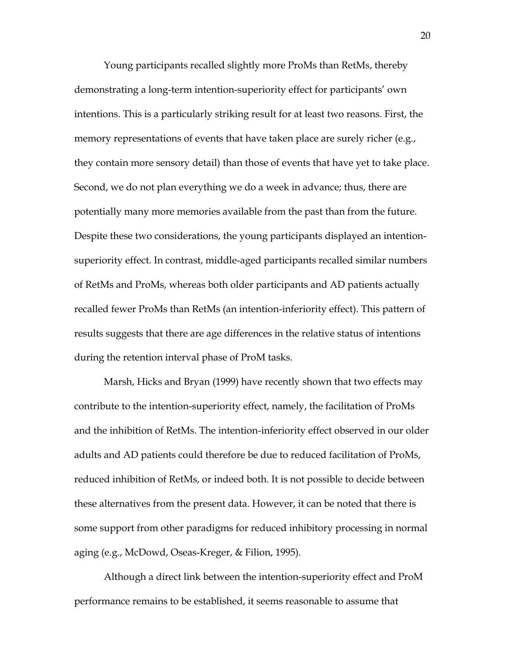Young participants recalled slightly more ProMs than RetMs, thereby demonstrating a long-term intention-superiority effect for participants' own intentions. This is a particularly striking result for at least two reasons. First, the memory representations of events that have taken place are surely richer (e.g., they contain more sensory detail) than those of events that have yet to take place. Second, we do not plan everything we do a week in advance; thus, there are potentially many more memories available from the past than from the future. Despite these two considerations, the young participants displayed an intentionsuperiority effect. In contrast, middle-aged participants recalled similar numbers of RetMs and ProMs, whereas both older participants and AD patients actually recalled fewer ProMs than RetMs (an intention-inferiority effect). This pattern of results suggests that there are age differences in the relative status of intentions during the retention interval phase of ProM tasks.

Marsh, Hicks and Bryan (1999) have recently shown that two effects may contribute to the intention-superiority effect, namely, the facilitation of ProMs and the inhibition of RetMs. The intention-inferiority effect observed in our older adults and AD patients could therefore be due to reduced facilitation of ProMs, reduced inhibition of RetMs, or indeed both. It is not possible to decide between these alternatives from the present data. However, it can be noted that there is some support from other paradigms for reduced inhibitory processing in normal aging (e.g., McDowd, Oseas-Kreger, & Filion, 1995).

Although a direct link between the intention-superiority effect and ProM performance remains to be established, it seems reasonable to assume that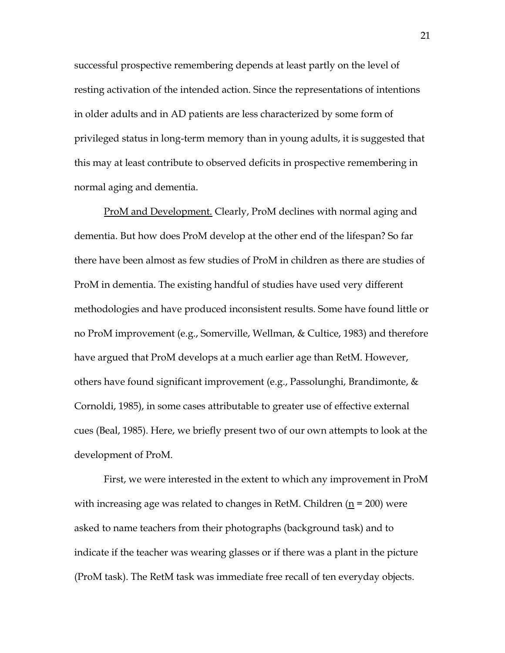successful prospective remembering depends at least partly on the level of resting activation of the intended action. Since the representations of intentions in older adults and in AD patients are less characterized by some form of privileged status in long-term memory than in young adults, it is suggested that this may at least contribute to observed deficits in prospective remembering in normal aging and dementia.

ProM and Development. Clearly, ProM declines with normal aging and dementia. But how does ProM develop at the other end of the lifespan? So far there have been almost as few studies of ProM in children as there are studies of ProM in dementia. The existing handful of studies have used very different methodologies and have produced inconsistent results. Some have found little or no ProM improvement (e.g., Somerville, Wellman, & Cultice, 1983) and therefore have argued that ProM develops at a much earlier age than RetM. However, others have found significant improvement (e.g., Passolunghi, Brandimonte,  $\&$ Cornoldi, 1985), in some cases attributable to greater use of effective external cues (Beal, 1985). Here, we briefly present two of our own attempts to look at the development of ProM.

First, we were interested in the extent to which any improvement in ProM with increasing age was related to changes in RetM. Children  $(n = 200)$  were asked to name teachers from their photographs (background task) and to indicate if the teacher was wearing glasses or if there was a plant in the picture (ProM task). The RetM task was immediate free recall of ten everyday objects.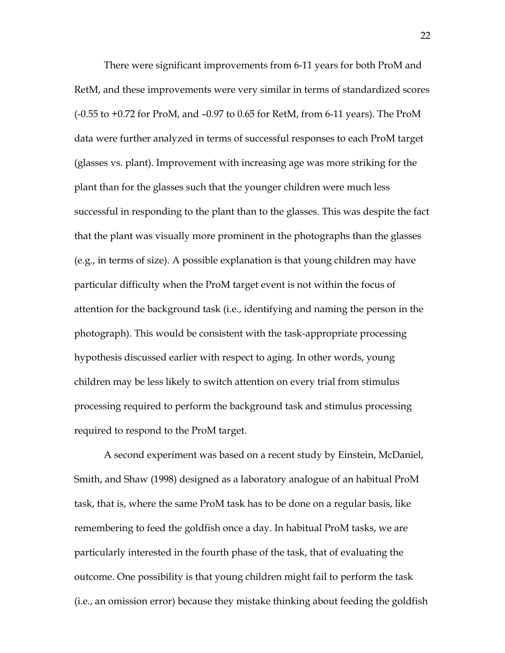There were significant improvements from 6-11 years for both ProM and RetM, and these improvements were very similar in terms of standardized scores (-0.55 to +0.72 for ProM, and –0.97 to 0.65 for RetM, from 6-11 years). The ProM data were further analyzed in terms of successful responses to each ProM target (glasses vs. plant). Improvement with increasing age was more striking for the plant than for the glasses such that the younger children were much less successful in responding to the plant than to the glasses. This was despite the fact that the plant was visually more prominent in the photographs than the glasses (e.g., in terms of size). A possible explanation is that young children may have particular difficulty when the ProM target event is not within the focus of attention for the background task (i.e., identifying and naming the person in the photograph). This would be consistent with the task-appropriate processing hypothesis discussed earlier with respect to aging. In other words, young children may be less likely to switch attention on every trial from stimulus processing required to perform the background task and stimulus processing required to respond to the ProM target.

A second experiment was based on a recent study by Einstein, McDaniel, Smith, and Shaw (1998) designed as a laboratory analogue of an habitual ProM task, that is, where the same ProM task has to be done on a regular basis, like remembering to feed the goldfish once a day. In habitual ProM tasks, we are particularly interested in the fourth phase of the task, that of evaluating the outcome. One possibility is that young children might fail to perform the task (i.e., an omission error) because they mistake thinking about feeding the goldfish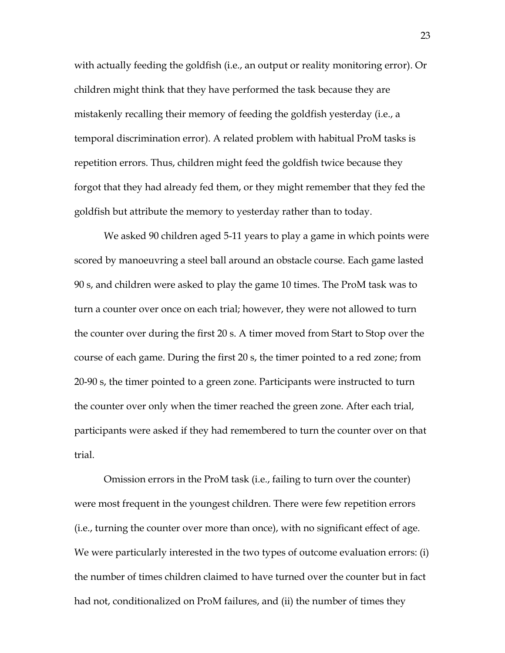with actually feeding the goldfish (i.e., an output or reality monitoring error). Or children might think that they have performed the task because they are mistakenly recalling their memory of feeding the goldfish yesterday (i.e., a temporal discrimination error). A related problem with habitual ProM tasks is repetition errors. Thus, children might feed the goldfish twice because they forgot that they had already fed them, or they might remember that they fed the goldfish but attribute the memory to yesterday rather than to today.

We asked 90 children aged 5-11 years to play a game in which points were scored by manoeuvring a steel ball around an obstacle course. Each game lasted 90 s, and children were asked to play the game 10 times. The ProM task was to turn a counter over once on each trial; however, they were not allowed to turn the counter over during the first 20 s. A timer moved from Start to Stop over the course of each game. During the first 20 s, the timer pointed to a red zone; from 20-90 s, the timer pointed to a green zone. Participants were instructed to turn the counter over only when the timer reached the green zone. After each trial, participants were asked if they had remembered to turn the counter over on that trial.

Omission errors in the ProM task (i.e., failing to turn over the counter) were most frequent in the youngest children. There were few repetition errors (i.e., turning the counter over more than once), with no significant effect of age. We were particularly interested in the two types of outcome evaluation errors: (i) the number of times children claimed to have turned over the counter but in fact had not, conditionalized on ProM failures, and (ii) the number of times they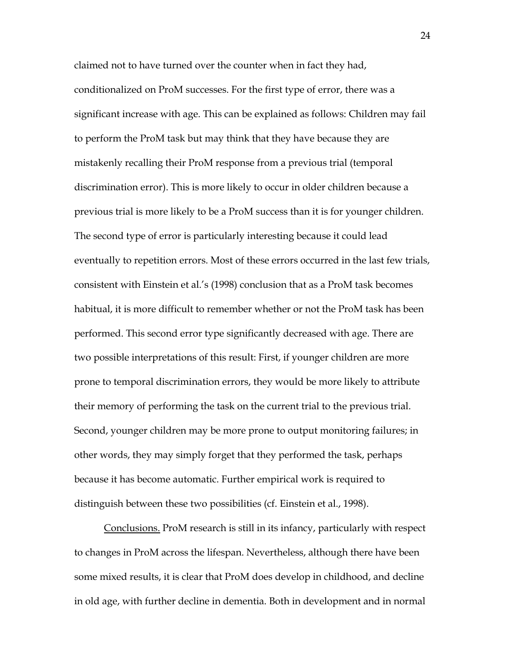claimed not to have turned over the counter when in fact they had, conditionalized on ProM successes. For the first type of error, there was a significant increase with age. This can be explained as follows: Children may fail to perform the ProM task but may think that they have because they are mistakenly recalling their ProM response from a previous trial (temporal discrimination error). This is more likely to occur in older children because a previous trial is more likely to be a ProM success than it is for younger children. The second type of error is particularly interesting because it could lead eventually to repetition errors. Most of these errors occurred in the last few trials, consistent with Einstein et al.'s (1998) conclusion that as a ProM task becomes habitual, it is more difficult to remember whether or not the ProM task has been performed. This second error type significantly decreased with age. There are two possible interpretations of this result: First, if younger children are more prone to temporal discrimination errors, they would be more likely to attribute their memory of performing the task on the current trial to the previous trial. Second, younger children may be more prone to output monitoring failures; in other words, they may simply forget that they performed the task, perhaps because it has become automatic. Further empirical work is required to distinguish between these two possibilities (cf. Einstein et al., 1998).

Conclusions. ProM research is still in its infancy, particularly with respect to changes in ProM across the lifespan. Nevertheless, although there have been some mixed results, it is clear that ProM does develop in childhood, and decline in old age, with further decline in dementia. Both in development and in normal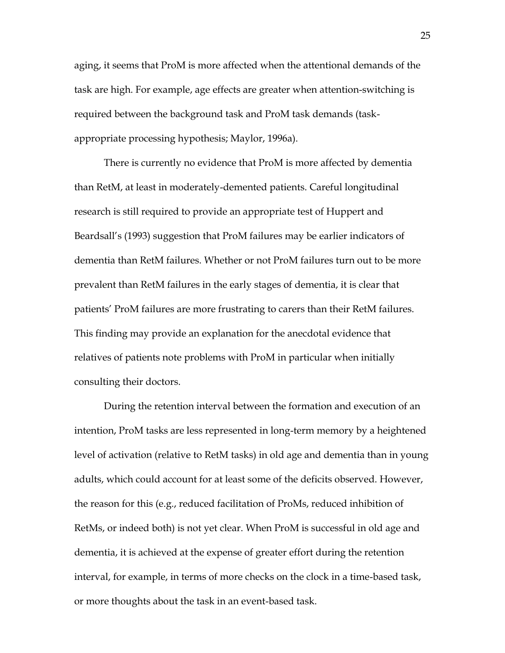aging, it seems that ProM is more affected when the attentional demands of the task are high. For example, age effects are greater when attention-switching is required between the background task and ProM task demands (taskappropriate processing hypothesis; Maylor, 1996a).

There is currently no evidence that ProM is more affected by dementia than RetM, at least in moderately-demented patients. Careful longitudinal research is still required to provide an appropriate test of Huppert and Beardsall's (1993) suggestion that ProM failures may be earlier indicators of dementia than RetM failures. Whether or not ProM failures turn out to be more prevalent than RetM failures in the early stages of dementia, it is clear that patients' ProM failures are more frustrating to carers than their RetM failures. This finding may provide an explanation for the anecdotal evidence that relatives of patients note problems with ProM in particular when initially consulting their doctors.

During the retention interval between the formation and execution of an intention, ProM tasks are less represented in long-term memory by a heightened level of activation (relative to RetM tasks) in old age and dementia than in young adults, which could account for at least some of the deficits observed. However, the reason for this (e.g., reduced facilitation of ProMs, reduced inhibition of RetMs, or indeed both) is not yet clear. When ProM is successful in old age and dementia, it is achieved at the expense of greater effort during the retention interval, for example, in terms of more checks on the clock in a time-based task, or more thoughts about the task in an event-based task.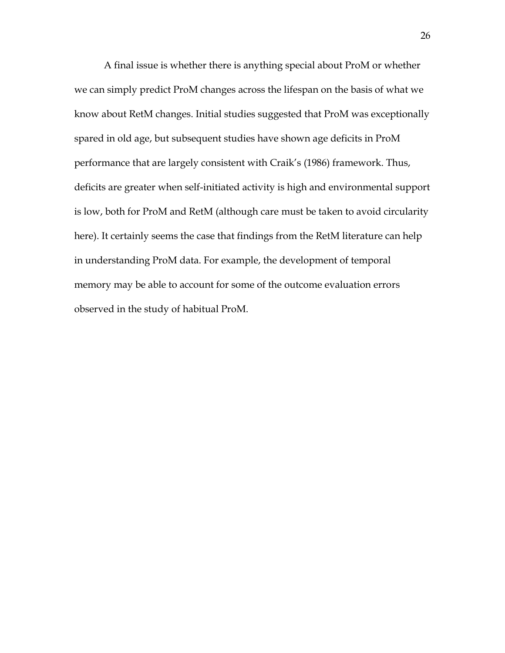A final issue is whether there is anything special about ProM or whether we can simply predict ProM changes across the lifespan on the basis of what we know about RetM changes. Initial studies suggested that ProM was exceptionally spared in old age, but subsequent studies have shown age deficits in ProM performance that are largely consistent with Craik's (1986) framework. Thus, deficits are greater when self-initiated activity is high and environmental support is low, both for ProM and RetM (although care must be taken to avoid circularity here). It certainly seems the case that findings from the RetM literature can help in understanding ProM data. For example, the development of temporal memory may be able to account for some of the outcome evaluation errors observed in the study of habitual ProM.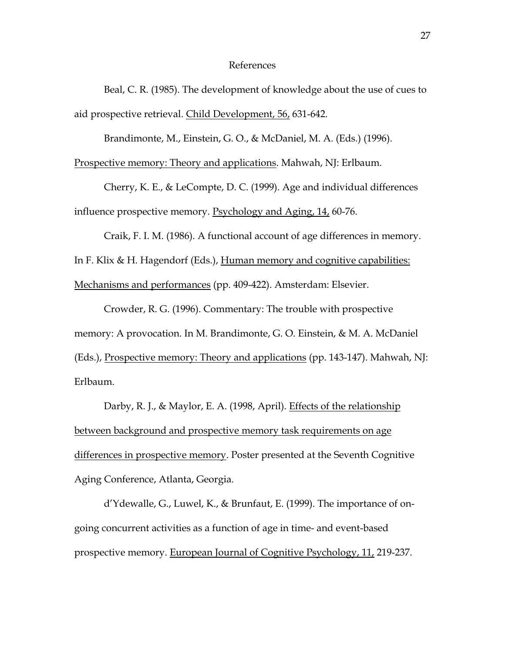## References

Beal, C. R. (1985). The development of knowledge about the use of cues to aid prospective retrieval. Child Development, 56, 631-642.

Brandimonte, M., Einstein, G. O., & McDaniel, M. A. (Eds.) (1996).

Prospective memory: Theory and applications. Mahwah, NJ: Erlbaum.

Cherry, K. E., & LeCompte, D. C. (1999). Age and individual differences influence prospective memory. Psychology and Aging, 14, 60-76.

Craik, F. I. M. (1986). A functional account of age differences in memory. In F. Klix & H. Hagendorf (Eds.), Human memory and cognitive capabilities: Mechanisms and performances (pp. 409-422). Amsterdam: Elsevier.

Crowder, R. G. (1996). Commentary: The trouble with prospective memory: A provocation. In M. Brandimonte, G. O. Einstein, & M. A. McDaniel (Eds.), Prospective memory: Theory and applications (pp. 143-147). Mahwah, NJ: Erlbaum.

Darby, R. J., & Maylor, E. A. (1998, April). Effects of the relationship between background and prospective memory task requirements on age differences in prospective memory. Poster presented at the Seventh Cognitive Aging Conference, Atlanta, Georgia.

d'Ydewalle, G., Luwel, K., & Brunfaut, E. (1999). The importance of ongoing concurrent activities as a function of age in time- and event-based prospective memory. European Journal of Cognitive Psychology, 11, 219-237.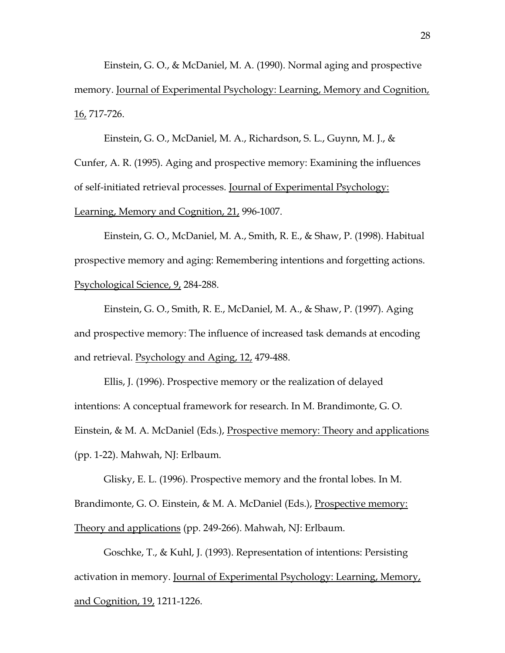Einstein, G. O., & McDaniel, M. A. (1990). Normal aging and prospective memory. Journal of Experimental Psychology: Learning, Memory and Cognition, 16, 717-726.

Einstein, G. O., McDaniel, M. A., Richardson, S. L., Guynn, M. J., & Cunfer, A. R. (1995). Aging and prospective memory: Examining the influences of self-initiated retrieval processes. Journal of Experimental Psychology: Learning, Memory and Cognition, 21, 996-1007.

Einstein, G. O., McDaniel, M. A., Smith, R. E., & Shaw, P. (1998). Habitual prospective memory and aging: Remembering intentions and forgetting actions. Psychological Science, 9, 284-288.

Einstein, G. O., Smith, R. E., McDaniel, M. A., & Shaw, P. (1997). Aging and prospective memory: The influence of increased task demands at encoding and retrieval. Psychology and Aging, 12, 479-488.

Ellis, J. (1996). Prospective memory or the realization of delayed intentions: A conceptual framework for research. In M. Brandimonte, G. O. Einstein, & M. A. McDaniel (Eds.), Prospective memory: Theory and applications (pp. 1-22). Mahwah, NJ: Erlbaum.

Glisky, E. L. (1996). Prospective memory and the frontal lobes. In M. Brandimonte, G. O. Einstein, & M. A. McDaniel (Eds.), Prospective memory: Theory and applications (pp. 249-266). Mahwah, NJ: Erlbaum.

Goschke, T., & Kuhl, J. (1993). Representation of intentions: Persisting activation in memory. Journal of Experimental Psychology: Learning, Memory, and Cognition, 19, 1211-1226.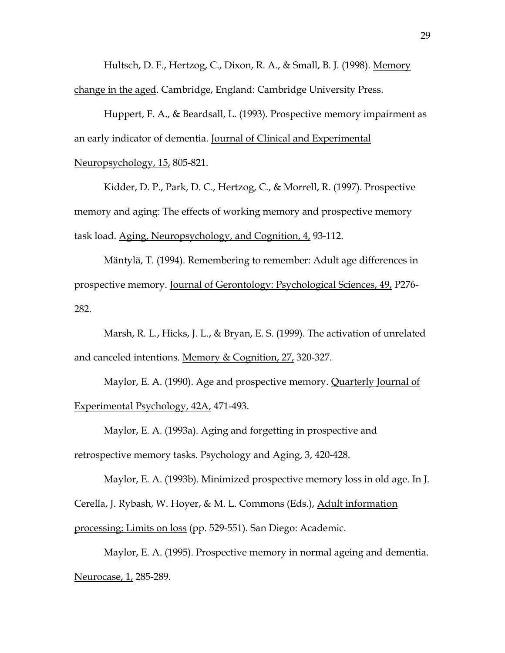Hultsch, D. F., Hertzog, C., Dixon, R. A., & Small, B. J. (1998). Memory change in the aged. Cambridge, England: Cambridge University Press.

Huppert, F. A., & Beardsall, L. (1993). Prospective memory impairment as an early indicator of dementia. Journal of Clinical and Experimental Neuropsychology, 15, 805-821.

Kidder, D. P., Park, D. C., Hertzog, C., & Morrell, R. (1997). Prospective memory and aging: The effects of working memory and prospective memory task load. Aging, Neuropsychology, and Cognition, 4, 93-112.

Mäntylä, T. (1994). Remembering to remember: Adult age differences in prospective memory. Journal of Gerontology: Psychological Sciences, 49, P276- 282.

Marsh, R. L., Hicks, J. L., & Bryan, E. S. (1999). The activation of unrelated and canceled intentions. Memory & Cognition, 27, 320-327.

Maylor, E. A. (1990). Age and prospective memory. Quarterly Journal of Experimental Psychology, 42A, 471-493.

Maylor, E. A. (1993a). Aging and forgetting in prospective and

retrospective memory tasks. Psychology and Aging, 3, 420-428.

Maylor, E. A. (1993b). Minimized prospective memory loss in old age. In J.

Cerella, J. Rybash, W. Hoyer, & M. L. Commons (Eds.), Adult information

processing: Limits on loss (pp. 529-551). San Diego: Academic.

Maylor, E. A. (1995). Prospective memory in normal ageing and dementia. Neurocase, 1, 285-289.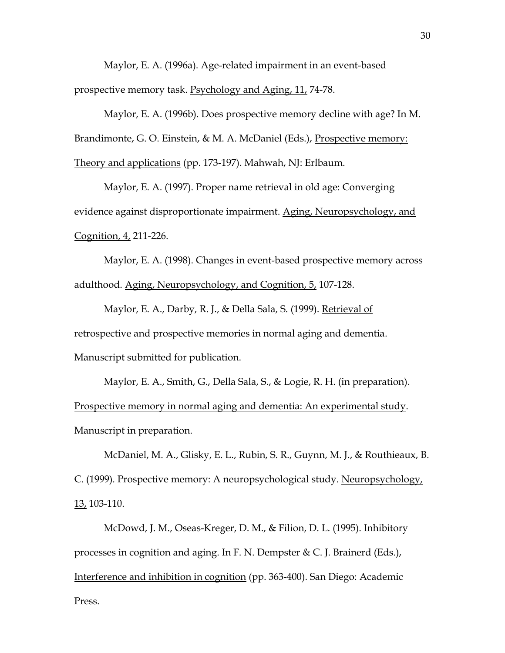Maylor, E. A. (1996a). Age-related impairment in an event-based prospective memory task. Psychology and Aging, 11, 74-78.

Maylor, E. A. (1996b). Does prospective memory decline with age? In M. Brandimonte, G. O. Einstein, & M. A. McDaniel (Eds.), Prospective memory: Theory and applications (pp. 173-197). Mahwah, NJ: Erlbaum.

Maylor, E. A. (1997). Proper name retrieval in old age: Converging evidence against disproportionate impairment. Aging, Neuropsychology, and Cognition, 4, 211-226.

Maylor, E. A. (1998). Changes in event-based prospective memory across adulthood. Aging, Neuropsychology, and Cognition, 5, 107-128.

Maylor, E. A., Darby, R. J., & Della Sala, S. (1999). Retrieval of retrospective and prospective memories in normal aging and dementia. Manuscript submitted for publication.

Maylor, E. A., Smith, G., Della Sala, S., & Logie, R. H. (in preparation). Prospective memory in normal aging and dementia: An experimental study. Manuscript in preparation.

McDaniel, M. A., Glisky, E. L., Rubin, S. R., Guynn, M. J., & Routhieaux, B. C. (1999). Prospective memory: A neuropsychological study. Neuropsychology, 13, 103-110.

McDowd, J. M., Oseas-Kreger, D. M., & Filion, D. L. (1995). Inhibitory processes in cognition and aging. In F. N. Dempster & C. J. Brainerd (Eds.), Interference and inhibition in cognition (pp. 363-400). San Diego: Academic Press.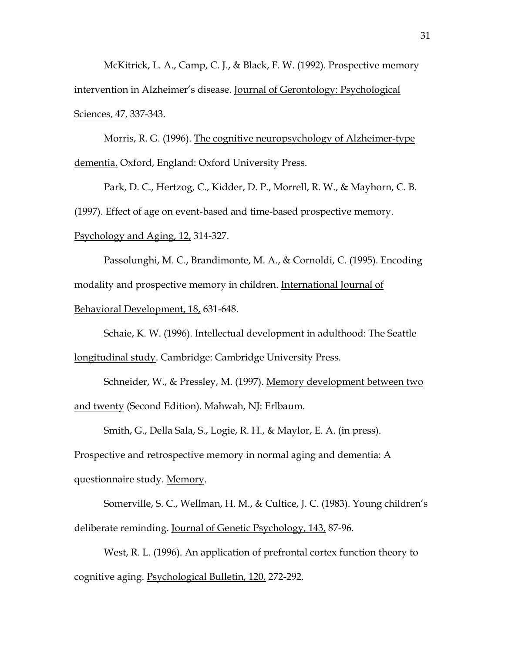McKitrick, L. A., Camp, C. J., & Black, F. W. (1992). Prospective memory intervention in Alzheimer's disease. Journal of Gerontology: Psychological Sciences, 47, 337-343.

Morris, R. G. (1996). The cognitive neuropsychology of Alzheimer-type dementia. Oxford, England: Oxford University Press.

Park, D. C., Hertzog, C., Kidder, D. P., Morrell, R. W., & Mayhorn, C. B. (1997). Effect of age on event-based and time-based prospective memory.

Psychology and Aging, 12, 314-327.

Passolunghi, M. C., Brandimonte, M. A., & Cornoldi, C. (1995). Encoding modality and prospective memory in children. International Journal of

Behavioral Development, 18, 631-648.

Schaie, K. W. (1996). Intellectual development in adulthood: The Seattle longitudinal study. Cambridge: Cambridge University Press.

Schneider, W., & Pressley, M. (1997). Memory development between two and twenty (Second Edition). Mahwah, NJ: Erlbaum.

Smith, G., Della Sala, S., Logie, R. H., & Maylor, E. A. (in press).

Prospective and retrospective memory in normal aging and dementia: A

questionnaire study. Memory.

Somerville, S. C., Wellman, H. M., & Cultice, J. C. (1983). Young children's deliberate reminding. Journal of Genetic Psychology, 143, 87-96.

West, R. L. (1996). An application of prefrontal cortex function theory to cognitive aging. Psychological Bulletin, 120, 272-292.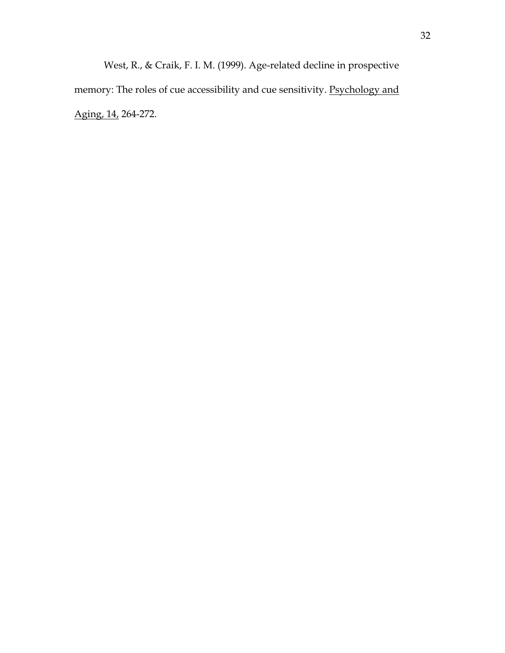West, R., & Craik, F. I. M. (1999). Age-related decline in prospective memory: The roles of cue accessibility and cue sensitivity. Psychology and Aging, 14, 264-272.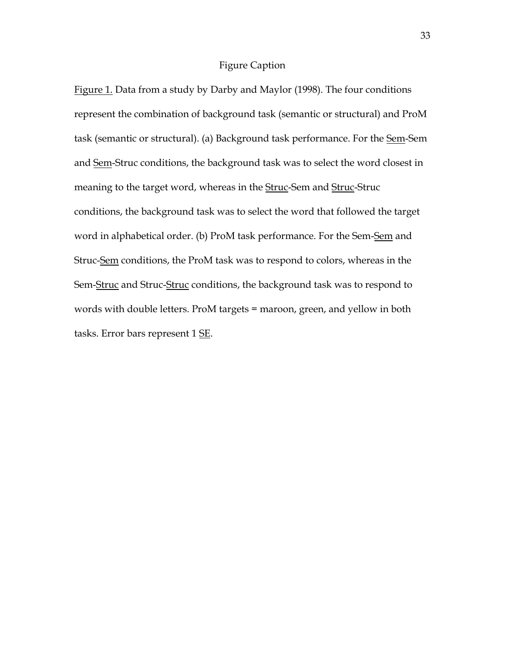## Figure Caption

Figure 1. Data from a study by Darby and Maylor (1998). The four conditions represent the combination of background task (semantic or structural) and ProM task (semantic or structural). (a) Background task performance. For the Sem-Sem and Sem-Struc conditions, the background task was to select the word closest in meaning to the target word, whereas in the **Struc-Sem and Struc-Struc** conditions, the background task was to select the word that followed the target word in alphabetical order. (b) ProM task performance. For the Sem-Sem and Struc-Sem conditions, the ProM task was to respond to colors, whereas in the Sem-Struc and Struc-Struc conditions, the background task was to respond to words with double letters. ProM targets = maroon, green, and yellow in both tasks. Error bars represent 1 SE.